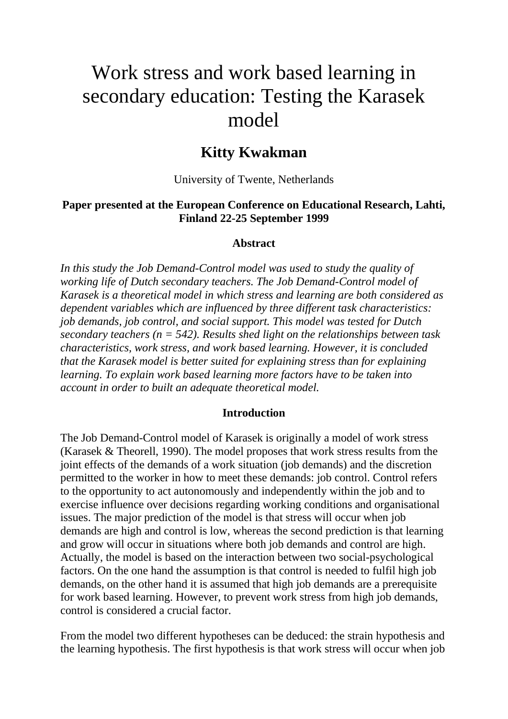# Work stress and work based learning in secondary education: Testing the Karasek model

# **Kitty Kwakman**

University of Twente, Netherlands

#### **Paper presented at the European Conference on Educational Research, Lahti, Finland 22-25 September 1999**

#### **Abstract**

*In this study the Job Demand-Control model was used to study the quality of working life of Dutch secondary teachers. The Job Demand-Control model of Karasek is a theoretical model in which stress and learning are both considered as dependent variables which are influenced by three different task characteristics: job demands, job control, and social support. This model was tested for Dutch secondary teachers (n = 542). Results shed light on the relationships between task characteristics, work stress, and work based learning. However, it is concluded that the Karasek model is better suited for explaining stress than for explaining learning. To explain work based learning more factors have to be taken into account in order to built an adequate theoretical model.*

#### **Introduction**

The Job Demand-Control model of Karasek is originally a model of work stress (Karasek & Theorell, 1990). The model proposes that work stress results from the joint effects of the demands of a work situation (job demands) and the discretion permitted to the worker in how to meet these demands: job control. Control refers to the opportunity to act autonomously and independently within the job and to exercise influence over decisions regarding working conditions and organisational issues. The major prediction of the model is that stress will occur when job demands are high and control is low, whereas the second prediction is that learning and grow will occur in situations where both job demands and control are high. Actually, the model is based on the interaction between two social-psychological factors. On the one hand the assumption is that control is needed to fulfil high job demands, on the other hand it is assumed that high job demands are a prerequisite for work based learning. However, to prevent work stress from high job demands, control is considered a crucial factor.

From the model two different hypotheses can be deduced: the strain hypothesis and the learning hypothesis. The first hypothesis is that work stress will occur when job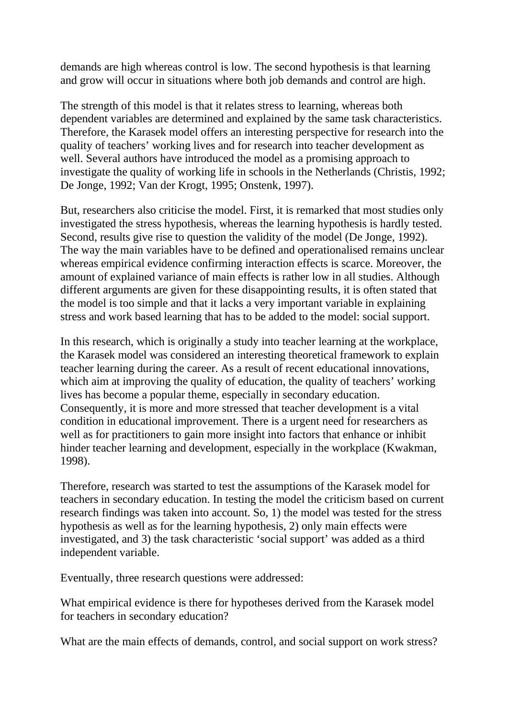demands are high whereas control is low. The second hypothesis is that learning and grow will occur in situations where both job demands and control are high.

The strength of this model is that it relates stress to learning, whereas both dependent variables are determined and explained by the same task characteristics. Therefore, the Karasek model offers an interesting perspective for research into the quality of teachers' working lives and for research into teacher development as well. Several authors have introduced the model as a promising approach to investigate the quality of working life in schools in the Netherlands (Christis, 1992; De Jonge, 1992; Van der Krogt, 1995; Onstenk, 1997).

But, researchers also criticise the model. First, it is remarked that most studies only investigated the stress hypothesis, whereas the learning hypothesis is hardly tested. Second, results give rise to question the validity of the model (De Jonge, 1992). The way the main variables have to be defined and operationalised remains unclear whereas empirical evidence confirming interaction effects is scarce. Moreover, the amount of explained variance of main effects is rather low in all studies. Although different arguments are given for these disappointing results, it is often stated that the model is too simple and that it lacks a very important variable in explaining stress and work based learning that has to be added to the model: social support.

In this research, which is originally a study into teacher learning at the workplace, the Karasek model was considered an interesting theoretical framework to explain teacher learning during the career. As a result of recent educational innovations, which aim at improving the quality of education, the quality of teachers' working lives has become a popular theme, especially in secondary education. Consequently, it is more and more stressed that teacher development is a vital condition in educational improvement. There is a urgent need for researchers as well as for practitioners to gain more insight into factors that enhance or inhibit hinder teacher learning and development, especially in the workplace (Kwakman, 1998).

Therefore, research was started to test the assumptions of the Karasek model for teachers in secondary education. In testing the model the criticism based on current research findings was taken into account. So, 1) the model was tested for the stress hypothesis as well as for the learning hypothesis, 2) only main effects were investigated, and 3) the task characteristic 'social support' was added as a third independent variable.

Eventually, three research questions were addressed:

What empirical evidence is there for hypotheses derived from the Karasek model for teachers in secondary education?

What are the main effects of demands, control, and social support on work stress?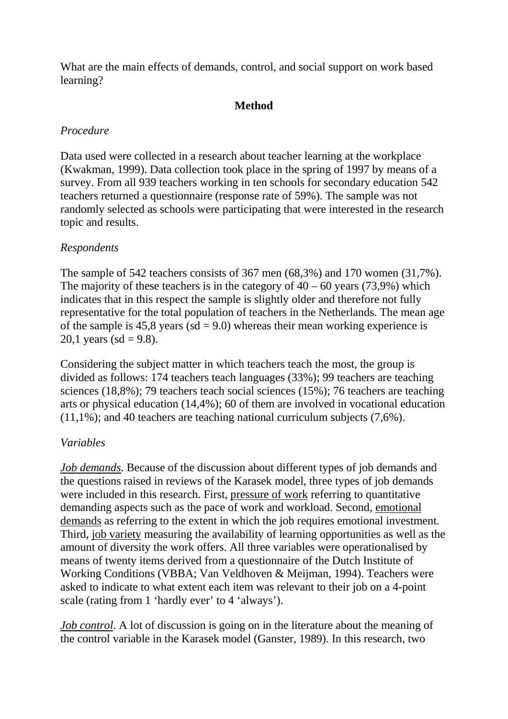What are the main effects of demands, control, and social support on work based learning?

# **Method**

## *Procedure*

Data used were collected in a research about teacher learning at the workplace (Kwakman, 1999). Data collection took place in the spring of 1997 by means of a survey. From all 939 teachers working in ten schools for secondary education 542 teachers returned a questionnaire (response rate of 59%). The sample was not randomly selected as schools were participating that were interested in the research topic and results.

# *Respondents*

The sample of 542 teachers consists of 367 men (68,3%) and 170 women (31,7%). The majority of these teachers is in the category of  $40 - 60$  years (73,9%) which indicates that in this respect the sample is slightly older and therefore not fully representative for the total population of teachers in the Netherlands. The mean age of the sample is 45,8 years ( $sd = 9.0$ ) whereas their mean working experience is 20,1 years (sd = 9.8).

Considering the subject matter in which teachers teach the most, the group is divided as follows: 174 teachers teach languages (33%); 99 teachers are teaching sciences (18,8%); 79 teachers teach social sciences (15%); 76 teachers are teaching arts or physical education (14,4%); 60 of them are involved in vocational education (11,1%); and 40 teachers are teaching national curriculum subjects (7,6%).

# *Variables*

*Job demands*. Because of the discussion about different types of job demands and the questions raised in reviews of the Karasek model, three types of job demands were included in this research. First, pressure of work referring to quantitative demanding aspects such as the pace of work and workload. Second, emotional demands as referring to the extent in which the job requires emotional investment. Third, job variety measuring the availability of learning opportunities as well as the amount of diversity the work offers. All three variables were operationalised by means of twenty items derived from a questionnaire of the Dutch Institute of Working Conditions (VBBA; Van Veldhoven & Meijman, 1994). Teachers were asked to indicate to what extent each item was relevant to their job on a 4-point scale (rating from 1 'hardly ever' to 4 'always').

*Job control*. A lot of discussion is going on in the literature about the meaning of the control variable in the Karasek model (Ganster, 1989). In this research, two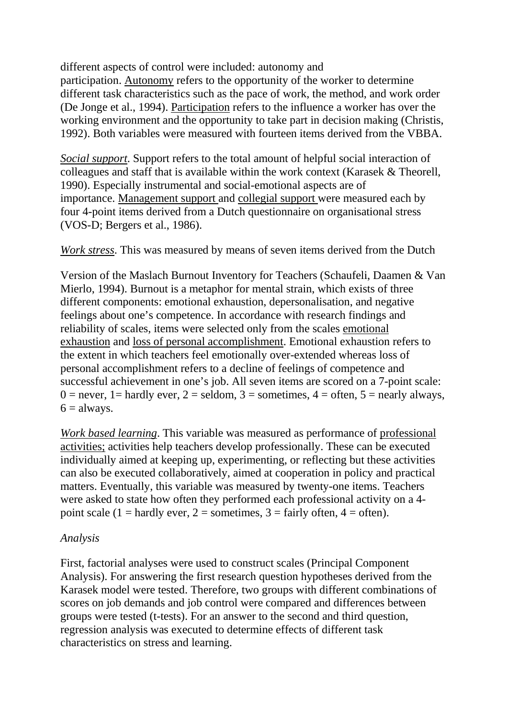different aspects of control were included: autonomy and participation. Autonomy refers to the opportunity of the worker to determine different task characteristics such as the pace of work, the method, and work order (De Jonge et al., 1994). Participation refers to the influence a worker has over the working environment and the opportunity to take part in decision making (Christis, 1992). Both variables were measured with fourteen items derived from the VBBA.

*Social support*. Support refers to the total amount of helpful social interaction of colleagues and staff that is available within the work context (Karasek & Theorell, 1990). Especially instrumental and social-emotional aspects are of importance. Management support and collegial support were measured each by four 4-point items derived from a Dutch questionnaire on organisational stress (VOS-D; Bergers et al., 1986).

*Work stress*. This was measured by means of seven items derived from the Dutch

Version of the Maslach Burnout Inventory for Teachers (Schaufeli, Daamen & Van Mierlo, 1994). Burnout is a metaphor for mental strain, which exists of three different components: emotional exhaustion, depersonalisation, and negative feelings about one's competence. In accordance with research findings and reliability of scales, items were selected only from the scales emotional exhaustion and loss of personal accomplishment. Emotional exhaustion refers to the extent in which teachers feel emotionally over-extended whereas loss of personal accomplishment refers to a decline of feelings of competence and successful achievement in one's job. All seven items are scored on a 7-point scale:  $0 =$  never,  $1 =$  hardly ever,  $2 =$  seldom,  $3 =$  sometimes,  $4 =$  often,  $5 =$  nearly always,  $6 =$  always.

*Work based learning*. This variable was measured as performance of professional activities; activities help teachers develop professionally. These can be executed individually aimed at keeping up, experimenting, or reflecting but these activities can also be executed collaboratively, aimed at cooperation in policy and practical matters. Eventually, this variable was measured by twenty-one items. Teachers were asked to state how often they performed each professional activity on a 4 point scale (1 = hardly ever, 2 = sometimes, 3 = fairly often, 4 = often).

## *Analysis*

First, factorial analyses were used to construct scales (Principal Component Analysis). For answering the first research question hypotheses derived from the Karasek model were tested. Therefore, two groups with different combinations of scores on job demands and job control were compared and differences between groups were tested (t-tests). For an answer to the second and third question, regression analysis was executed to determine effects of different task characteristics on stress and learning.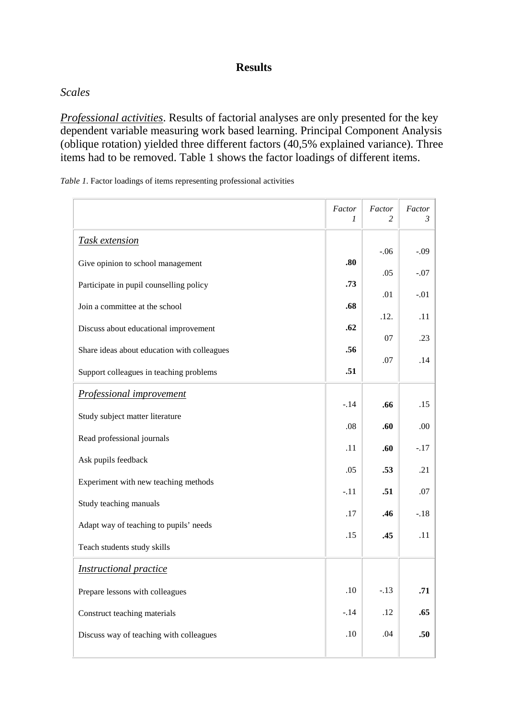#### **Results**

## *Scales*

*Professional activities*. Results of factorial analyses are only presented for the key dependent variable measuring work based learning. Principal Component Analysis (oblique rotation) yielded three different factors (40,5% explained variance). Three items had to be removed. Table 1 shows the factor loadings of different items.

*Table 1*. Factor loadings of items representing professional activities

|                                             | Factor<br>1 | Factor<br>$\mathfrak{D}$ | Factor<br>3 |
|---------------------------------------------|-------------|--------------------------|-------------|
| <b>Task extension</b>                       |             |                          |             |
| Give opinion to school management           | .80         | $-.06$                   | $-.09$      |
| Participate in pupil counselling policy     | .73         | .05                      | $-.07$      |
| Join a committee at the school              | .68         | .01                      | $-.01$      |
| Discuss about educational improvement       | .62         | .12.                     | .11         |
| Share ideas about education with colleagues | .56         | 07                       | .23         |
| Support colleagues in teaching problems     | .51         | .07                      | .14         |
| Professional improvement                    |             |                          |             |
| Study subject matter literature             | $-.14$      | .66                      | .15         |
| Read professional journals                  | .08         | .60                      | .00         |
| Ask pupils feedback                         | .11         | .60                      | $-.17$      |
| Experiment with new teaching methods        | .05         | .53                      | .21         |
| Study teaching manuals                      | $-.11$      | .51                      | .07         |
|                                             | .17         | .46                      | $-.18$      |
| Adapt way of teaching to pupils' needs      | .15         | .45                      | .11         |
| Teach students study skills                 |             |                          |             |
| <b>Instructional practice</b>               |             |                          |             |
| Prepare lessons with colleagues             | .10         | $-.13$                   | .71         |
| Construct teaching materials                | $-.14$      | .12                      | .65         |
| Discuss way of teaching with colleagues     | .10         | .04                      | .50         |
|                                             |             |                          |             |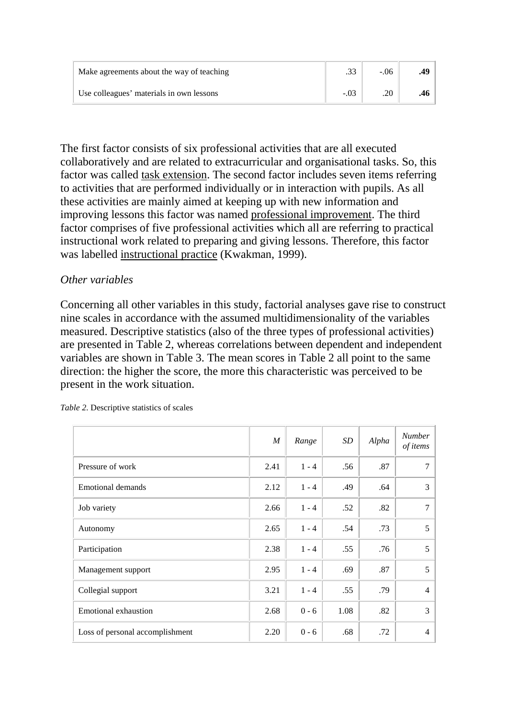| Make agreements about the way of teaching | .33 | $-.06$ |  |
|-------------------------------------------|-----|--------|--|
| Use colleagues' materials in own lessons  |     |        |  |

The first factor consists of six professional activities that are all executed collaboratively and are related to extracurricular and organisational tasks. So, this factor was called task extension. The second factor includes seven items referring to activities that are performed individually or in interaction with pupils. As all these activities are mainly aimed at keeping up with new information and improving lessons this factor was named professional improvement. The third factor comprises of five professional activities which all are referring to practical instructional work related to preparing and giving lessons. Therefore, this factor was labelled instructional practice (Kwakman, 1999).

#### *Other variables*

Concerning all other variables in this study, factorial analyses gave rise to construct nine scales in accordance with the assumed multidimensionality of the variables measured. Descriptive statistics (also of the three types of professional activities) are presented in Table 2, whereas correlations between dependent and independent variables are shown in Table 3. The mean scores in Table 2 all point to the same direction: the higher the score, the more this characteristic was perceived to be present in the work situation.

|                                 | $\boldsymbol{M}$ | Range   | SD   | Alpha | <b>Number</b><br>of items |
|---------------------------------|------------------|---------|------|-------|---------------------------|
| Pressure of work                | 2.41             | $1 - 4$ | .56  | .87   |                           |
| <b>Emotional demands</b>        | 2.12             | $1 - 4$ | .49  | .64   | 3                         |
| Job variety                     | 2.66             | $1 - 4$ | .52  | .82   | 7                         |
| Autonomy                        | 2.65             | $1 - 4$ | .54  | .73   | 5                         |
| Participation                   | 2.38             | $1 - 4$ | .55  | .76   | 5                         |
| Management support              | 2.95             | $1 - 4$ | .69  | .87   | 5                         |
| Collegial support               | 3.21             | $1 - 4$ | .55  | .79   | $\overline{4}$            |
| <b>Emotional exhaustion</b>     | 2.68             | $0 - 6$ | 1.08 | .82   | 3                         |
| Loss of personal accomplishment | 2.20             | $0 - 6$ | .68  | .72   | $\overline{4}$            |

*Table 2*. Descriptive statistics of scales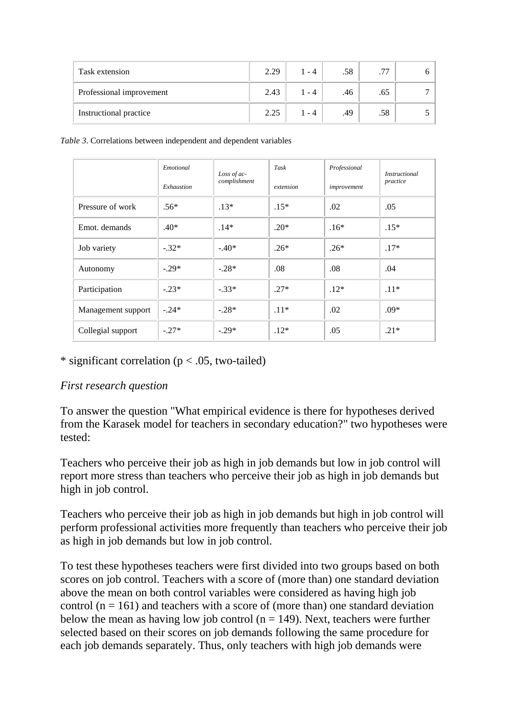| Task extension           | 2.29 | $1 - 4$ | .58 | .77 |  |
|--------------------------|------|---------|-----|-----|--|
| Professional improvement | 2.43 | $1 - 4$ | .46 | .65 |  |
| Instructional practice   | 2.25 | 1 - 4   | .49 | .58 |  |

*Table 3*. Correlations between independent and dependent variables

|                    | Emotional<br>Exhaustion | Loss of ac-<br>complishment | Task<br>extension | Professional<br>improvement | <i>Instructional</i><br>practice |
|--------------------|-------------------------|-----------------------------|-------------------|-----------------------------|----------------------------------|
| Pressure of work   | $.56*$                  | $.13*$                      | $.15*$            | .02                         | .05                              |
| Emot. demands      | $.40*$                  | $.14*$                      | $.20*$            | $.16*$                      | $.15*$                           |
| Job variety        | $-.32*$                 | $-.40*$                     | $.26*$            | $.26*$                      | $.17*$                           |
| Autonomy           | $-.29*$                 | $-.28*$                     | .08               | .08                         | .04                              |
| Participation      | $-.23*$                 | $-.33*$                     | $.27*$            | $.12*$                      | $.11*$                           |
| Management support | $-.24*$                 | $-.28*$                     | $.11*$            | .02                         | $.09*$                           |
| Collegial support  | $-.27*$                 | $-.29*$                     | $.12*$            | .05                         | $.21*$                           |

#### \* significant correlation ( $p < .05$ , two-tailed)

#### *First research question*

To answer the question "What empirical evidence is there for hypotheses derived from the Karasek model for teachers in secondary education?" two hypotheses were tested:

Teachers who perceive their job as high in job demands but low in job control will report more stress than teachers who perceive their job as high in job demands but high in job control.

Teachers who perceive their job as high in job demands but high in job control will perform professional activities more frequently than teachers who perceive their job as high in job demands but low in job control.

To test these hypotheses teachers were first divided into two groups based on both scores on job control. Teachers with a score of (more than) one standard deviation above the mean on both control variables were considered as having high job control ( $n = 161$ ) and teachers with a score of (more than) one standard deviation below the mean as having low job control ( $n = 149$ ). Next, teachers were further selected based on their scores on job demands following the same procedure for each job demands separately. Thus, only teachers with high job demands were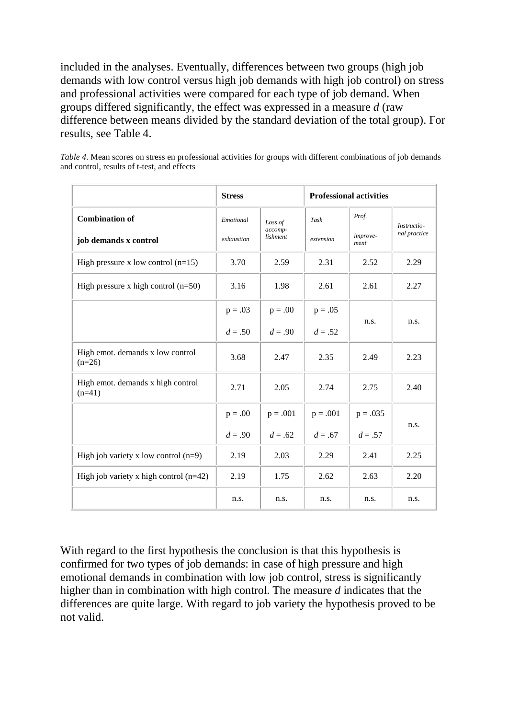included in the analyses. Eventually, differences between two groups (high job demands with low control versus high job demands with high job control) on stress and professional activities were compared for each type of job demand. When groups differed significantly, the effect was expressed in a measure *d* (raw difference between means divided by the standard deviation of the total group). For results, see Table 4.

*Table 4*. Mean scores on stress en professional activities for groups with different combinations of job demands and control, results of t-test, and effects

|                                               | <b>Stress</b> |                     | <b>Professional activities</b> |                  |              |
|-----------------------------------------------|---------------|---------------------|--------------------------------|------------------|--------------|
| <b>Combination of</b>                         | Emotional     | Loss of             | Task<br>extension              | Prof.            | Instructio-  |
| job demands x control                         | exhaustion    | accomp-<br>lishment |                                | improve-<br>ment | nal practice |
| High pressure x low control $(n=15)$          | 3.70          | 2.59                | 2.31                           | 2.52             | 2.29         |
| High pressure x high control $(n=50)$         | 3.16          | 1.98                | 2.61                           | 2.61             | 2.27         |
|                                               | $p = .03$     | $p = .00$           | $p = .05$                      |                  |              |
|                                               | $d = .50$     | $d = .90$           | $d = .52$                      | n.s.             | n.s.         |
| High emot. demands x low control<br>$(n=26)$  | 3.68          | 2.47                | 2.35                           | 2.49             | 2.23         |
| High emot. demands x high control<br>$(n=41)$ | 2.71          | 2.05                | 2.74                           | 2.75             | 2.40         |
|                                               | $p = .00$     | $p = .001$          | $p = .001$                     | $p = .035$       |              |
|                                               | $d = .90$     | $d = .62$           | $d = .67$                      | $d = .57$        | n.s.         |
| High job variety x low control $(n=9)$        | 2.19          | 2.03                | 2.29                           | 2.41             | 2.25         |
| High job variety x high control $(n=42)$      | 2.19          | 1.75                | 2.62                           | 2.63             | 2.20         |
|                                               | n.s.          | n.s.                | n.s.                           | n.s.             | n.s.         |

With regard to the first hypothesis the conclusion is that this hypothesis is confirmed for two types of job demands: in case of high pressure and high emotional demands in combination with low job control, stress is significantly higher than in combination with high control. The measure *d* indicates that the differences are quite large. With regard to job variety the hypothesis proved to be not valid.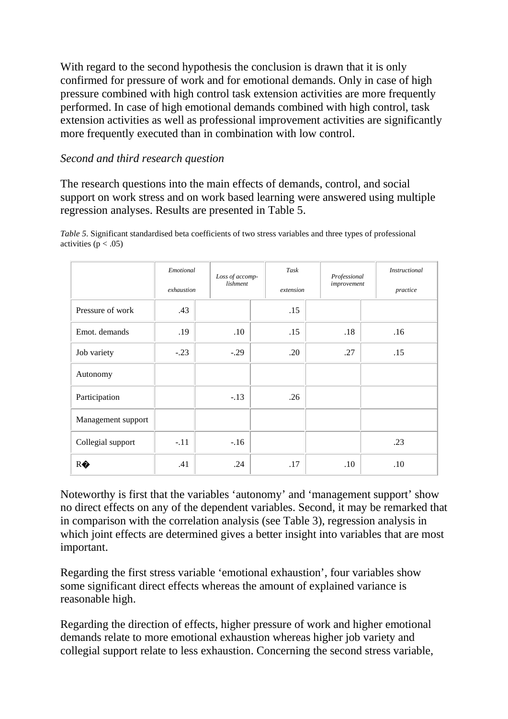With regard to the second hypothesis the conclusion is drawn that it is only confirmed for pressure of work and for emotional demands. Only in case of high pressure combined with high control task extension activities are more frequently performed. In case of high emotional demands combined with high control, task extension activities as well as professional improvement activities are significantly more frequently executed than in combination with low control.

## *Second and third research question*

The research questions into the main effects of demands, control, and social support on work stress and on work based learning were answered using multiple regression analyses. Results are presented in Table 5.

|                    | Emotional<br>exhaustion | Loss of accomp-<br>lishment | Task<br>extension | Professional<br>improvement | <b>Instructional</b><br>practice |
|--------------------|-------------------------|-----------------------------|-------------------|-----------------------------|----------------------------------|
| Pressure of work   | .43                     |                             | .15               |                             |                                  |
| Emot. demands      | .19                     | .10                         | .15               | .18                         | .16                              |
| Job variety        | $-.23$                  | $-.29$                      | .20               | .27                         | .15                              |
| Autonomy           |                         |                             |                   |                             |                                  |
| Participation      |                         | $-.13$                      | .26               |                             |                                  |
| Management support |                         |                             |                   |                             |                                  |
| Collegial support  | $-.11$                  | $-.16$                      |                   |                             | .23                              |
| RO                 | .41                     | .24                         | .17               | .10                         | .10                              |

*Table 5*. Significant standardised beta coefficients of two stress variables and three types of professional activities  $(p < .05)$ 

Noteworthy is first that the variables 'autonomy' and 'management support' show no direct effects on any of the dependent variables. Second, it may be remarked that in comparison with the correlation analysis (see Table 3), regression analysis in which joint effects are determined gives a better insight into variables that are most important.

Regarding the first stress variable 'emotional exhaustion', four variables show some significant direct effects whereas the amount of explained variance is reasonable high.

Regarding the direction of effects, higher pressure of work and higher emotional demands relate to more emotional exhaustion whereas higher job variety and collegial support relate to less exhaustion. Concerning the second stress variable,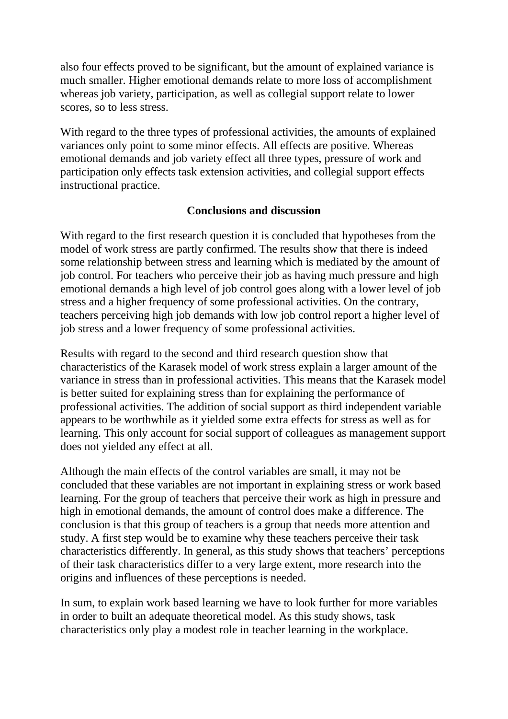also four effects proved to be significant, but the amount of explained variance is much smaller. Higher emotional demands relate to more loss of accomplishment whereas job variety, participation, as well as collegial support relate to lower scores, so to less stress.

With regard to the three types of professional activities, the amounts of explained variances only point to some minor effects. All effects are positive. Whereas emotional demands and job variety effect all three types, pressure of work and participation only effects task extension activities, and collegial support effects instructional practice.

#### **Conclusions and discussion**

With regard to the first research question it is concluded that hypotheses from the model of work stress are partly confirmed. The results show that there is indeed some relationship between stress and learning which is mediated by the amount of job control. For teachers who perceive their job as having much pressure and high emotional demands a high level of job control goes along with a lower level of job stress and a higher frequency of some professional activities. On the contrary, teachers perceiving high job demands with low job control report a higher level of job stress and a lower frequency of some professional activities.

Results with regard to the second and third research question show that characteristics of the Karasek model of work stress explain a larger amount of the variance in stress than in professional activities. This means that the Karasek model is better suited for explaining stress than for explaining the performance of professional activities. The addition of social support as third independent variable appears to be worthwhile as it yielded some extra effects for stress as well as for learning. This only account for social support of colleagues as management support does not yielded any effect at all.

Although the main effects of the control variables are small, it may not be concluded that these variables are not important in explaining stress or work based learning. For the group of teachers that perceive their work as high in pressure and high in emotional demands, the amount of control does make a difference. The conclusion is that this group of teachers is a group that needs more attention and study. A first step would be to examine why these teachers perceive their task characteristics differently. In general, as this study shows that teachers' perceptions of their task characteristics differ to a very large extent, more research into the origins and influences of these perceptions is needed.

In sum, to explain work based learning we have to look further for more variables in order to built an adequate theoretical model. As this study shows, task characteristics only play a modest role in teacher learning in the workplace.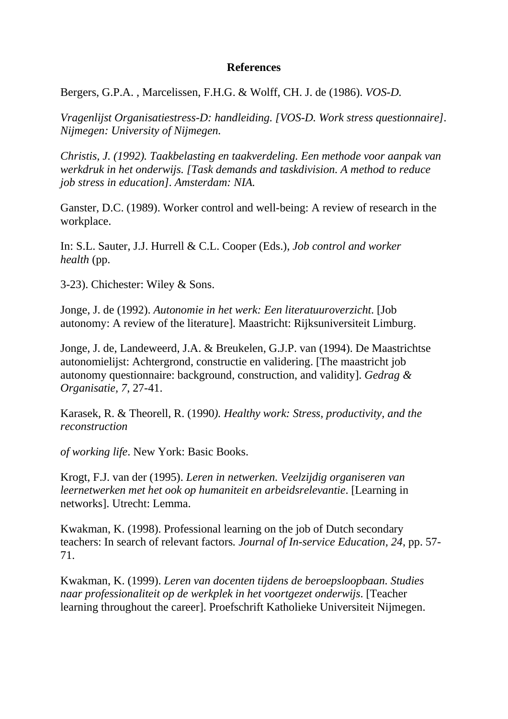#### **References**

Bergers, G.P.A. , Marcelissen, F.H.G. & Wolff, CH. J. de (1986). *VOS-D.*

*Vragenlijst Organisatiestress-D: handleiding. [VOS-D. Work stress questionnaire]. Nijmegen: University of Nijmegen.*

*Christis, J. (1992). Taakbelasting en taakverdeling. Een methode voor aanpak van werkdruk in het onderwijs. [Task demands and taskdivision. A method to reduce job stress in education]. Amsterdam: NIA.*

Ganster, D.C. (1989). Worker control and well-being: A review of research in the workplace.

In: S.L. Sauter, J.J. Hurrell & C.L. Cooper (Eds.), *Job control and worker health* (pp.

3-23). Chichester: Wiley & Sons.

Jonge, J. de (1992). *Autonomie in het werk: Een literatuuroverzicht*. [Job autonomy: A review of the literature]. Maastricht: Rijksuniversiteit Limburg.

Jonge, J. de, Landeweerd, J.A. & Breukelen, G.J.P. van (1994). De Maastrichtse autonomielijst: Achtergrond, constructie en validering. [The maastricht job autonomy questionnaire: background, construction, and validity]. *Gedrag & Organisatie, 7*, 27-41.

Karasek, R. & Theorell, R. (1990*). Healthy work: Stress, productivity, and the reconstruction*

*of working life*. New York: Basic Books.

Krogt, F.J. van der (1995). *Leren in netwerken. Veelzijdig organiseren van leernetwerken met het ook op humaniteit en arbeidsrelevantie*. [Learning in networks]. Utrecht: Lemma.

Kwakman, K. (1998). Professional learning on the job of Dutch secondary teachers: In search of relevant factors*. Journal of In-service Education, 24*, pp. 57- 71.

Kwakman, K. (1999). *Leren van docenten tijdens de beroepsloopbaan. Studies naar professionaliteit op de werkplek in het voortgezet onderwijs*. [Teacher learning throughout the career]. Proefschrift Katholieke Universiteit Nijmegen.